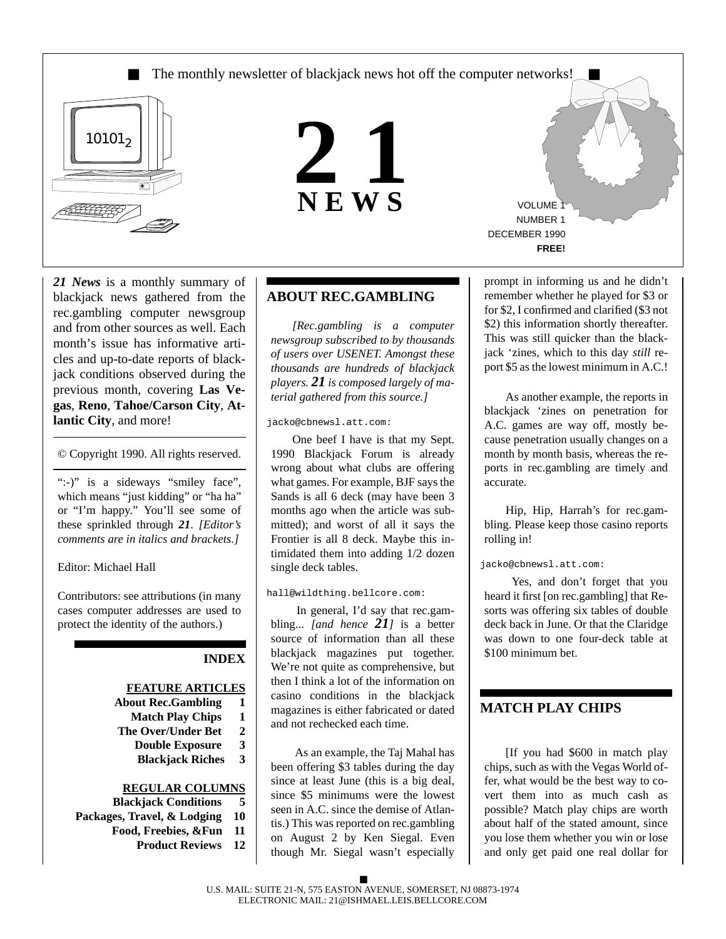

**2 1 NEWS**



*21 News* is a monthly summary of blackjack news gathered from the rec.gambling computer newsgroup and from other sources as well. Each month's issue has informative articles and up-to-date reports of blackjack conditions observed during the previous month, covering **Las Vegas**, **Reno**, **Tahoe/Carson City**, **Atlantic City**, and more!

© Copyright 1990. All rights reserved.

":-)" is a sideways "smiley face", which means "just kidding" or "ha ha" or "I'm happy." You'll see some of these sprinkled through *21*. *[Editor's comments are in italics and brackets.]*

Editor: Michael Hall

Contributors: see attributions (in many cases computer addresses are used to protect the identity of the authors.)

# **INDEX**

## **FEATURE ARTICLES**

**About Rec.Gambling 1 Match Play Chips 1 The Over/Under Bet 2 Double Exposure 3 Blackjack Riches 3**

## **REGULAR COLUMNS**

**Blackjack Conditions 5 Packages, Travel, & Lodging 10 Food, Freebies, &Fun 11 Product Reviews 12**

# **ABOUT REC.GAMBLING**

*[Rec.gambling is a computer newsgroup subscribed to by thousands of users over USENET. Amongst these thousands are hundreds of blackjack players. 21 is composed largely of material gathered from this source.]*

jacko@cbnewsl.att.com:

One beef I have is that my Sept. 1990 Blackjack Forum is already wrong about what clubs are offering what games. For example, BJF says the Sands is all 6 deck (may have been 3 months ago when the article was submitted); and worst of all it says the Frontier is all 8 deck. Maybe this intimidated them into adding 1/2 dozen single deck tables.

## hall@wildthing.bellcore.com:

 In general, I'd say that rec.gambling... *[and hence 21]* is a better source of information than all these blackjack magazines put together. We're not quite as comprehensive, but then I think a lot of the information on casino conditions in the blackjack magazines is either fabricated or dated and not rechecked each time.

 As an example, the Taj Mahal has been offering \$3 tables during the day since at least June (this is a big deal, since \$5 minimums were the lowest seen in A.C. since the demise of Atlantis.) This was reported on rec.gambling on August 2 by Ken Siegal. Even though Mr. Siegal wasn't especially prompt in informing us and he didn't remember whether he played for \$3 or for \$2, I confirmed and clarified (\$3 not \$2) this information shortly thereafter. This was still quicker than the blackjack 'zines, which to this day *still* report \$5 as the lowest minimum in A.C.!

As another example, the reports in blackjack 'zines on penetration for A.C. games are way off, mostly because penetration usually changes on a month by month basis, whereas the reports in rec.gambling are timely and accurate.

Hip, Hip, Harrah's for rec.gambling. Please keep those casino reports rolling in!

jacko@cbnewsl.att.com:

 Yes, and don't forget that you heard it first [on rec.gambling] that Resorts was offering six tables of double deck back in June. Or that the Claridge was down to one four-deck table at \$100 minimum bet.

# **MATCH PLAY CHIPS**

[If you had \$600 in match play chips, such as with the Vegas World offer, what would be the best way to covert them into as much cash as possible? Match play chips are worth about half of the stated amount, since you lose them whether you win or lose and only get paid one real dollar for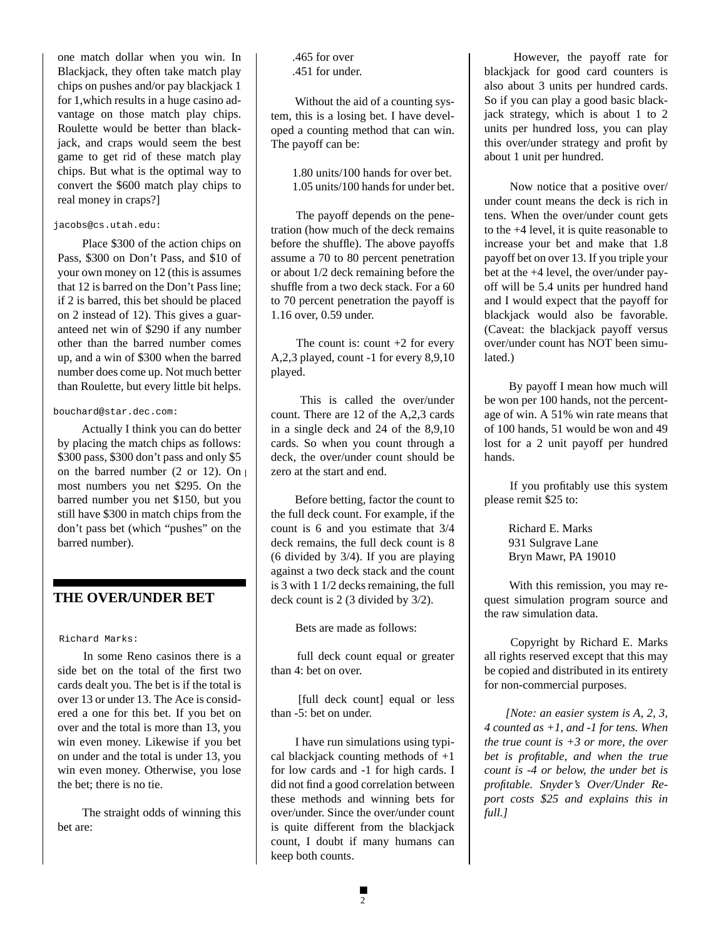one match dollar when you win. In Blackjack, they often take match play chips on pushes and/or pay blackjack 1 for 1,which results in a huge casino advantage on those match play chips. Roulette would be better than blackjack, and craps would seem the best game to get rid of these match play chips. But what is the optimal way to convert the \$600 match play chips to real money in craps?]

#### jacobs@cs.utah.edu:

 Place \$300 of the action chips on Pass, \$300 on Don't Pass, and \$10 of your own money on 12 (this is assumes that 12 is barred on the Don't Pass line; if 2 is barred, this bet should be placed on 2 instead of 12). This gives a guaranteed net win of \$290 if any number other than the barred number comes up, and a win of \$300 when the barred number does come up. Not much better than Roulette, but every little bit helps.

#### bouchard@star.dec.com:

 Actually I think you can do better by placing the match chips as follows: \$300 pass, \$300 don't pass and only \$5 on the barred number  $(2 \text{ or } 12)$ . On most numbers you net \$295. On the barred number you net \$150, but you still have \$300 in match chips from the don't pass bet (which "pushes" on the barred number).

## **THE OVER/UNDER BET**

#### Richard Marks:

 In some Reno casinos there is a side bet on the total of the first two cards dealt you. The bet is if the total is over 13 or under 13. The Ace is considered a one for this bet. If you bet on over and the total is more than 13, you win even money. Likewise if you bet on under and the total is under 13, you win even money. Otherwise, you lose the bet; there is no tie.

 The straight odds of winning this bet are:

.465 for over .451 for under.

 Without the aid of a counting system, this is a losing bet. I have developed a counting method that can win. The payoff can be:

> 1.80 units/100 hands for over bet. 1.05 units/100 hands for under bet.

 The payoff depends on the penetration (how much of the deck remains before the shuffle). The above payoffs assume a 70 to 80 percent penetration or about 1/2 deck remaining before the shuffle from a two deck stack. For a 60 to 70 percent penetration the payoff is 1.16 over, 0.59 under.

The count is: count  $+2$  for every A,2,3 played, count -1 for every 8,9,10 played.

 This is called the over/under count. There are 12 of the A,2,3 cards in a single deck and 24 of the 8,9,10 cards. So when you count through a deck, the over/under count should be zero at the start and end.

 Before betting, factor the count to the full deck count. For example, if the count is 6 and you estimate that 3/4 deck remains, the full deck count is 8 (6 divided by 3/4). If you are playing against a two deck stack and the count is 3 with 1 1/2 decks remaining, the full deck count is 2 (3 divided by 3/2).

Bets are made as follows:

 full deck count equal or greater than 4: bet on over.

 [full deck count] equal or less than -5: bet on under.

 I have run simulations using typical blackjack counting methods of +1 for low cards and -1 for high cards. I did not find a good correlation between these methods and winning bets for over/under. Since the over/under count is quite different from the blackjack count, I doubt if many humans can keep both counts.

 However, the payoff rate for blackjack for good card counters is also about 3 units per hundred cards. So if you can play a good basic blackjack strategy, which is about 1 to 2 units per hundred loss, you can play this over/under strategy and profit by about 1 unit per hundred.

 Now notice that a positive over/ under count means the deck is rich in tens. When the over/under count gets to the +4 level, it is quite reasonable to increase your bet and make that 1.8 payoff bet on over 13. If you triple your bet at the +4 level, the over/under payoff will be 5.4 units per hundred hand and I would expect that the payoff for blackjack would also be favorable. (Caveat: the blackjack payoff versus over/under count has NOT been simulated.)

 By payoff I mean how much will be won per 100 hands, not the percentage of win. A 51% win rate means that of 100 hands, 51 would be won and 49 lost for a 2 unit payoff per hundred hands.

 If you profitably use this system please remit \$25 to:

> Richard E. Marks 931 Sulgrave Lane Bryn Mawr, PA 19010

 With this remission, you may request simulation program source and the raw simulation data.

 Copyright by Richard E. Marks all rights reserved except that this may be copied and distributed in its entirety for non-commercial purposes.

*[Note: an easier system is A, 2, 3, 4 counted as +1, and -1 for tens. When the true count is +3 or more, the over bet is profitable, and when the true count is -4 or below, the under bet is profitable. Snyder's Over/Under Report costs \$25 and explains this in full.]*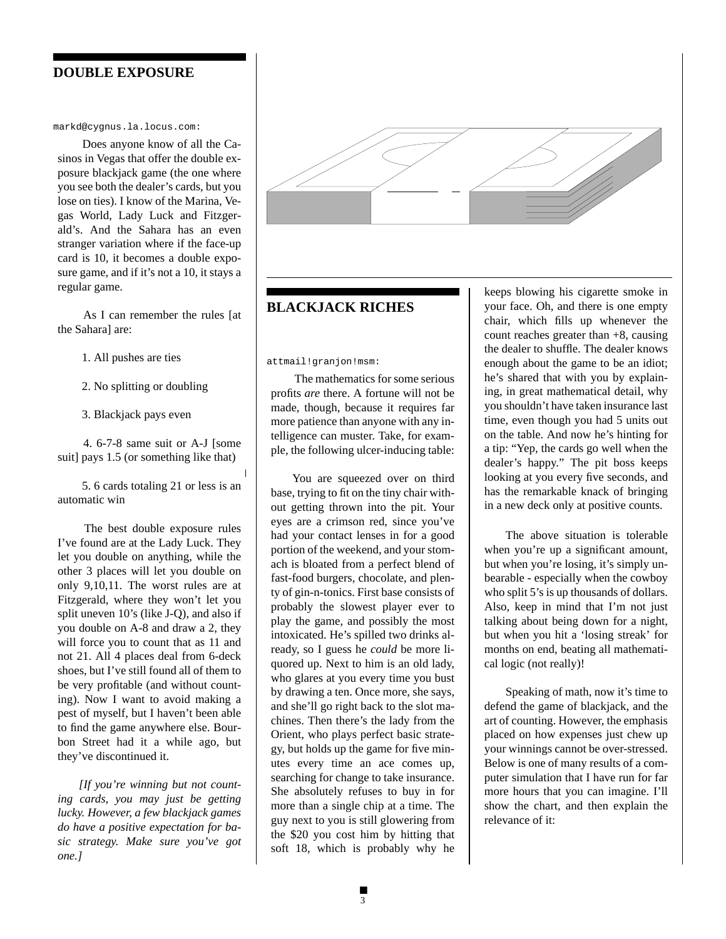## **DOUBLE EXPOSURE**

markd@cygnus.la.locus.com:

 Does anyone know of all the Casinos in Vegas that offer the double exposure blackjack game (the one where you see both the dealer's cards, but you lose on ties). I know of the Marina, Vegas World, Lady Luck and Fitzgerald's. And the Sahara has an even stranger variation where if the face-up card is 10, it becomes a double exposure game, and if it's not a 10, it stays a regular game.

 As I can remember the rules [at the Sahara] are:

1. All pushes are ties

2. No splitting or doubling

3. Blackjack pays even

 4. 6-7-8 same suit or A-J [some suit] pays 1.5 (or something like that)

 5. 6 cards totaling 21 or less is an automatic win

 The best double exposure rules I've found are at the Lady Luck. They let you double on anything, while the other 3 places will let you double on only 9,10,11. The worst rules are at Fitzgerald, where they won't let you split uneven 10's (like J-Q), and also if you double on A-8 and draw a 2, they will force you to count that as 11 and not 21. All 4 places deal from 6-deck shoes, but I've still found all of them to be very profitable (and without counting). Now I want to avoid making a pest of myself, but I haven't been able to find the game anywhere else. Bourbon Street had it a while ago, but they've discontinued it.

*[If you're winning but not counting cards, you may just be getting lucky. However, a few blackjack games do have a positive expectation for basic strategy. Make sure you've got one.]*



## **BLACKJACK RICHES**

attmail!granjon!msm:

 The mathematics for some serious profits *are* there. A fortune will not be made, though, because it requires far more patience than anyone with any intelligence can muster. Take, for example, the following ulcer-inducing table:

You are squeezed over on third base, trying to fit on the tiny chair without getting thrown into the pit. Your eyes are a crimson red, since you've had your contact lenses in for a good portion of the weekend, and your stomach is bloated from a perfect blend of fast-food burgers, chocolate, and plenty of gin-n-tonics. First base consists of probably the slowest player ever to play the game, and possibly the most intoxicated. He's spilled two drinks already, so I guess he *could* be more liquored up. Next to him is an old lady, who glares at you every time you bust by drawing a ten. Once more, she says, and she'll go right back to the slot machines. Then there's the lady from the Orient, who plays perfect basic strategy, but holds up the game for five minutes every time an ace comes up, searching for change to take insurance. She absolutely refuses to buy in for more than a single chip at a time. The guy next to you is still glowering from the \$20 you cost him by hitting that soft 18, which is probably why he

keeps blowing his cigarette smoke in your face. Oh, and there is one empty chair, which fills up whenever the count reaches greater than +8, causing the dealer to shuffle. The dealer knows enough about the game to be an idiot; he's shared that with you by explaining, in great mathematical detail, why you shouldn't have taken insurance last time, even though you had 5 units out on the table. And now he's hinting for a tip: "Yep, the cards go well when the dealer's happy." The pit boss keeps looking at you every five seconds, and has the remarkable knack of bringing in a new deck only at positive counts.

The above situation is tolerable when you're up a significant amount, but when you're losing, it's simply unbearable - especially when the cowboy who split 5's is up thousands of dollars. Also, keep in mind that I'm not just talking about being down for a night, but when you hit a 'losing streak' for months on end, beating all mathematical logic (not really)!

Speaking of math, now it's time to defend the game of blackjack, and the art of counting. However, the emphasis placed on how expenses just chew up your winnings cannot be over-stressed. Below is one of many results of a computer simulation that I have run for far more hours that you can imagine. I'll show the chart, and then explain the relevance of it: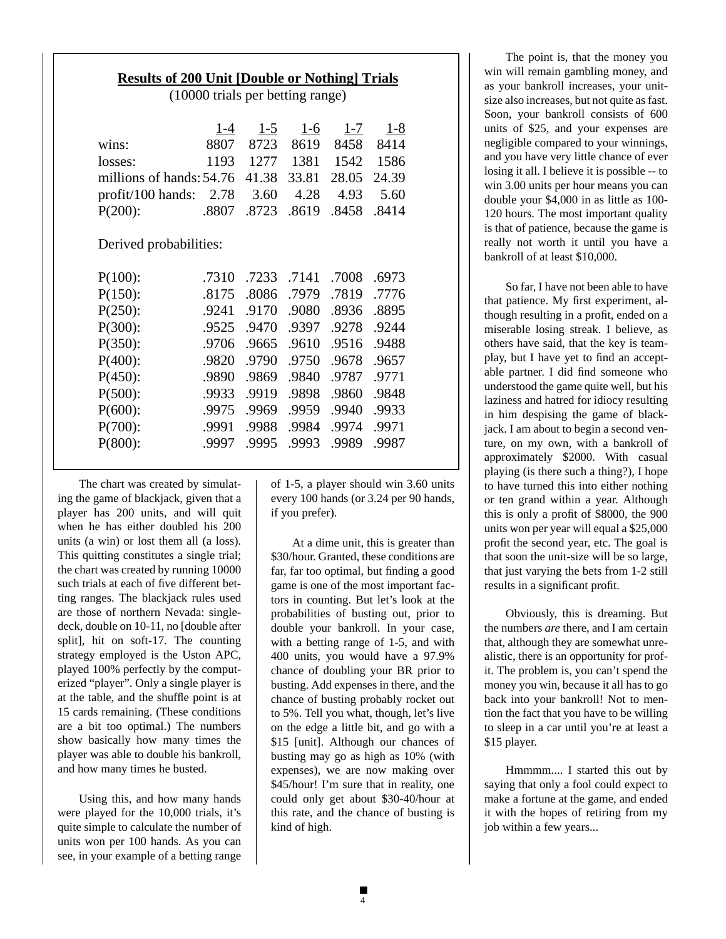|                          | (10000 trials per betting range) |            |       |         |            |  |
|--------------------------|----------------------------------|------------|-------|---------|------------|--|
|                          | <u>1-4</u>                       | <u>1-5</u> | $1-6$ | $1 - 7$ | <u>1-8</u> |  |
| wins:                    | 8807                             | 8723       | 8619  | 8458    | 8414       |  |
| losses:                  | 1193                             | 1277       | 1381  | 1542    | 1586       |  |
| millions of hands: 54.76 |                                  | 41.38      | 33.81 | 28.05   | 24.39      |  |
| profit/100 hands:        | 2.78                             | 3.60       | 4.28  | 4.93    | 5.60       |  |
| $P(200)$ :               | .8807                            | .8723      | .8619 | .8458   | .8414      |  |
| $P(150)$ :               | .8175                            | .8086      | .7979 | .7819   | .7776      |  |
| $P(100)$ :               | .7310                            | .7233      | .7141 | .7008   | .6973      |  |
| $P(250)$ :               | .9241                            | .9170      | .9080 | .8936   | .8895      |  |
| $P(300)$ :               | .9525                            | .9470      | .9397 | .9278   | .9244      |  |
| $P(350)$ :               | .9706                            | .9665      | .9610 | .9516   | .9488      |  |
| $P(400)$ :               | .9820                            | .9790      | .9750 | .9678   | .9657      |  |
| $P(450)$ :               | .9890                            | .9869      | .9840 | .9787   | .9771      |  |
| $P(500)$ :               | .9933                            | .9919      | .9898 | .9860   | .9848      |  |
|                          | .9975                            | .9969      | .9959 | .9940   | .9933      |  |
|                          |                                  |            |       |         |            |  |
| $P(600)$ :<br>$P(700)$ : | .9991                            | .9988      | .9984 | .9974   | .9971      |  |

The chart was created by simulating the game of blackjack, given that a player has 200 units, and will quit when he has either doubled his 200 units (a win) or lost them all (a loss). This quitting constitutes a single trial; the chart was created by running 10000 such trials at each of five different betting ranges. The blackjack rules used are those of northern Nevada: singledeck, double on 10-11, no [double after split], hit on soft-17. The counting strategy employed is the Uston APC, played 100% perfectly by the computerized "player". Only a single player is at the table, and the shuffle point is at 15 cards remaining. (These conditions are a bit too optimal.) The numbers show basically how many times the player was able to double his bankroll, and how many times he busted.

Using this, and how many hands were played for the 10,000 trials, it's quite simple to calculate the number of units won per 100 hands. As you can see, in your example of a betting range

of 1-5, a player should win 3.60 units every 100 hands (or 3.24 per 90 hands, if you prefer).

At a dime unit, this is greater than \$30/hour. Granted, these conditions are far, far too optimal, but finding a good game is one of the most important factors in counting. But let's look at the probabilities of busting out, prior to double your bankroll. In your case, with a betting range of 1-5, and with 400 units, you would have a 97.9% chance of doubling your BR prior to busting. Add expenses in there, and the chance of busting probably rocket out to 5%. Tell you what, though, let's live on the edge a little bit, and go with a \$15 [unit]. Although our chances of busting may go as high as 10% (with expenses), we are now making over \$45/hour! I'm sure that in reality, one could only get about \$30-40/hour at this rate, and the chance of busting is kind of high.

The point is, that the money you win will remain gambling money, and as your bankroll increases, your unitsize also increases, but not quite as fast. Soon, your bankroll consists of 600 units of \$25, and your expenses are negligible compared to your winnings, and you have very little chance of ever losing it all. I believe it is possible -- to win 3.00 units per hour means you can double your \$4,000 in as little as 100- 120 hours. The most important quality is that of patience, because the game is really not worth it until you have a bankroll of at least \$10,000.

So far, I have not been able to have that patience. My first experiment, although resulting in a profit, ended on a miserable losing streak. I believe, as others have said, that the key is teamplay, but I have yet to find an acceptable partner. I did find someone who understood the game quite well, but his laziness and hatred for idiocy resulting in him despising the game of blackjack. I am about to begin a second venture, on my own, with a bankroll of approximately \$2000. With casual playing (is there such a thing?), I hope to have turned this into either nothing or ten grand within a year. Although this is only a profit of \$8000, the 900 units won per year will equal a \$25,000 profit the second year, etc. The goal is that soon the unit-size will be so large, that just varying the bets from 1-2 still results in a significant profit.

Obviously, this is dreaming. But the numbers *are* there, and I am certain that, although they are somewhat unrealistic, there is an opportunity for profit. The problem is, you can't spend the money you win, because it all has to go back into your bankroll! Not to mention the fact that you have to be willing to sleep in a car until you're at least a \$15 player.

Hmmmm.... I started this out by saying that only a fool could expect to make a fortune at the game, and ended it with the hopes of retiring from my job within a few years...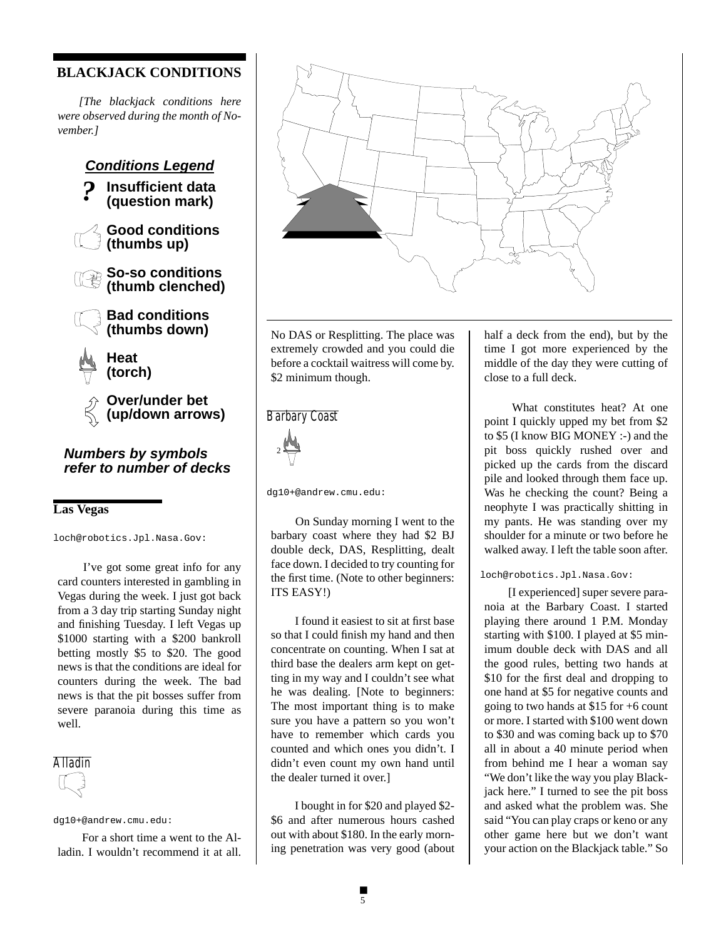## **BLACKJACK CONDITIONS**

*[The blackjack conditions here were observed during the month of November.]*



## **Numbers by symbols refer to number of decks**

## **Las Vegas**

loch@robotics.Jpl.Nasa.Gov:

 I've got some great info for any card counters interested in gambling in Vegas during the week. I just got back from a 3 day trip starting Sunday night and finishing Tuesday. I left Vegas up \$1000 starting with a \$200 bankroll betting mostly \$5 to \$20. The good news is that the conditions are ideal for counters during the week. The bad news is that the pit bosses suffer from severe paranoia during this time as well.



dg10+@andrew.cmu.edu:

 For a short time a went to the Alladin. I wouldn't recommend it at all.



No DAS or Resplitting. The place was extremely crowded and you could die before a cocktail waitress will come by. \$2 minimum though.

## *Barbary Coast*



dg10+@andrew.cmu.edu:

 On Sunday morning I went to the barbary coast where they had \$2 BJ double deck, DAS, Resplitting, dealt face down. I decided to try counting for the first time. (Note to other beginners: ITS EASY!)

 I found it easiest to sit at first base so that I could finish my hand and then concentrate on counting. When I sat at third base the dealers arm kept on getting in my way and I couldn't see what he was dealing. [Note to beginners: The most important thing is to make sure you have a pattern so you won't have to remember which cards you counted and which ones you didn't. I didn't even count my own hand until the dealer turned it over.]

 I bought in for \$20 and played \$2- \$6 and after numerous hours cashed out with about \$180. In the early morning penetration was very good (about half a deck from the end), but by the time I got more experienced by the middle of the day they were cutting of close to a full deck.

 What constitutes heat? At one point I quickly upped my bet from \$2 to \$5 (I know BIG MONEY :-) and the pit boss quickly rushed over and picked up the cards from the discard pile and looked through them face up. Was he checking the count? Being a neophyte I was practically shitting in my pants. He was standing over my shoulder for a minute or two before he walked away. I left the table soon after.

#### loch@robotics.Jpl.Nasa.Gov:

 [I experienced] super severe paranoia at the Barbary Coast. I started playing there around 1 P.M. Monday starting with \$100. I played at \$5 minimum double deck with DAS and all the good rules, betting two hands at \$10 for the first deal and dropping to one hand at \$5 for negative counts and going to two hands at \$15 for +6 count or more. I started with \$100 went down to \$30 and was coming back up to \$70 all in about a 40 minute period when from behind me I hear a woman say "We don't like the way you play Blackjack here." I turned to see the pit boss and asked what the problem was. She said "You can play craps or keno or any other game here but we don't want your action on the Blackjack table." So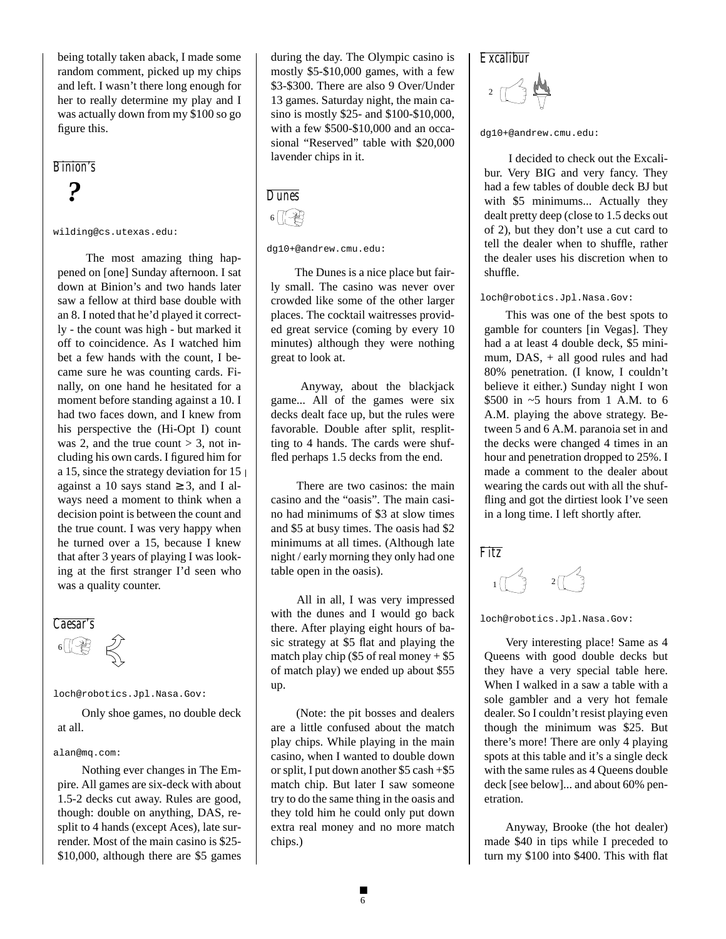being totally taken aback, I made some random comment, picked up my chips and left. I wasn't there long enough for her to really determine my play and I was actually down from my \$100 so go figure this.

## *Binion's*

*?*

wilding@cs.utexas.edu:

 The most amazing thing happened on [one] Sunday afternoon. I sat down at Binion's and two hands later saw a fellow at third base double with an 8. I noted that he'd played it correctly - the count was high - but marked it off to coincidence. As I watched him bet a few hands with the count, I became sure he was counting cards. Finally, on one hand he hesitated for a moment before standing against a 10. I had two faces down, and I knew from his perspective the (Hi-Opt I) count was 2, and the true count  $>$  3, not including his own cards. I figured him for a 15, since the strategy deviation for 15 against a 10 says stand  $\geq$  3, and I always need a moment to think when a decision point is between the count and the true count. I was very happy when he turned over a 15, because I knew that after 3 years of playing I was looking at the first stranger I'd seen who was a quality counter.

#### *Caesar's*



loch@robotics.Jpl.Nasa.Gov:

 Only shoe games, no double deck at all.

#### alan@mq.com:

 Nothing ever changes in The Empire. All games are six-deck with about 1.5-2 decks cut away. Rules are good, though: double on anything, DAS, resplit to 4 hands (except Aces), late surrender. Most of the main casino is \$25- \$10,000, although there are \$5 games during the day. The Olympic casino is mostly \$5-\$10,000 games, with a few \$3-\$300. There are also 9 Over/Under 13 games. Saturday night, the main casino is mostly \$25- and \$100-\$10,000, with a few \$500-\$10,000 and an occasional "Reserved" table with \$20,000 lavender chips in it.

*Dunes*  $6$   $\mathbb{R}$ 

dg10+@andrew.cmu.edu:

 The Dunes is a nice place but fairly small. The casino was never over crowded like some of the other larger places. The cocktail waitresses provided great service (coming by every 10 minutes) although they were nothing great to look at.

 Anyway, about the blackjack game... All of the games were six decks dealt face up, but the rules were favorable. Double after split, resplitting to 4 hands. The cards were shuffled perhaps 1.5 decks from the end.

 There are two casinos: the main casino and the "oasis". The main casino had minimums of \$3 at slow times and \$5 at busy times. The oasis had \$2 minimums at all times. (Although late night / early morning they only had one table open in the oasis).

 All in all, I was very impressed with the dunes and I would go back there. After playing eight hours of basic strategy at \$5 flat and playing the match play chip (\$5 of real money  $+$  \$5 of match play) we ended up about \$55 up.

 (Note: the pit bosses and dealers are a little confused about the match play chips. While playing in the main casino, when I wanted to double down or split, I put down another \$5 cash +\$5 match chip. But later I saw someone try to do the same thing in the oasis and they told him he could only put down extra real money and no more match chips.)



dg10+@andrew.cmu.edu:

 I decided to check out the Excalibur. Very BIG and very fancy. They had a few tables of double deck BJ but with \$5 minimums... Actually they dealt pretty deep (close to 1.5 decks out of 2), but they don't use a cut card to tell the dealer when to shuffle, rather the dealer uses his discretion when to shuffle.

#### loch@robotics.Jpl.Nasa.Gov:

This was one of the best spots to gamble for counters [in Vegas]. They had a at least 4 double deck, \$5 minimum, DAS, + all good rules and had 80% penetration. (I know, I couldn't believe it either.) Sunday night I won \$500 in  $\sim$  5 hours from 1 A.M. to 6 A.M. playing the above strategy. Between 5 and 6 A.M. paranoia set in and the decks were changed 4 times in an hour and penetration dropped to 25%. I made a comment to the dealer about wearing the cards out with all the shuffling and got the dirtiest look I've seen in a long time. I left shortly after.

*Fitz*  $1($   $\frac{3}{2}$   $2$ 

loch@robotics.Jpl.Nasa.Gov:

Very interesting place! Same as 4 Queens with good double decks but they have a very special table here. When I walked in a saw a table with a sole gambler and a very hot female dealer. So I couldn't resist playing even though the minimum was \$25. But there's more! There are only 4 playing spots at this table and it's a single deck with the same rules as 4 Queens double deck [see below]... and about 60% penetration.

Anyway, Brooke (the hot dealer) made \$40 in tips while I preceded to turn my \$100 into \$400. This with flat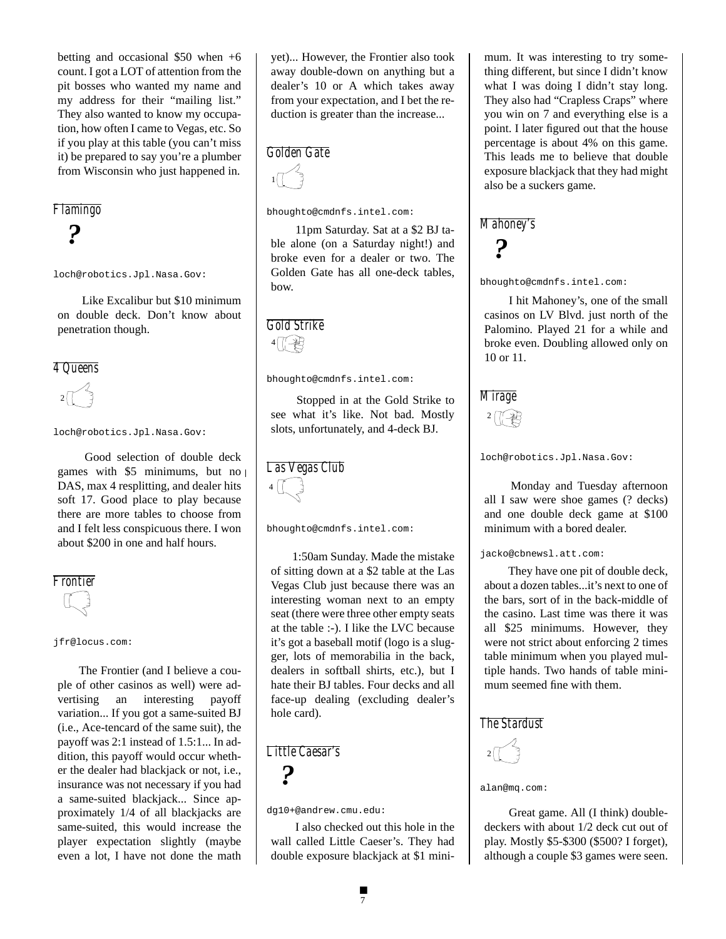betting and occasional \$50 when +6 count. I got a LOT of attention from the pit bosses who wanted my name and my address for their "mailing list." They also wanted to know my occupation, how often I came to Vegas, etc. So if you play at this table (you can't miss it) be prepared to say you're a plumber from Wisconsin who just happened in.



loch@robotics.Jpl.Nasa.Gov:

 Like Excalibur but \$10 minimum on double deck. Don't know about penetration though.



loch@robotics.Jpl.Nasa.Gov:

 Good selection of double deck games with \$5 minimums, but no DAS, max 4 resplitting, and dealer hits soft 17. Good place to play because there are more tables to choose from and I felt less conspicuous there. I won about \$200 in one and half hours.

*Frontier*

jfr@locus.com:

The Frontier (and I believe a couple of other casinos as well) were advertising an interesting payoff variation... If you got a same-suited BJ (i.e., Ace-tencard of the same suit), the payoff was 2:1 instead of 1.5:1... In addition, this payoff would occur whether the dealer had blackjack or not, i.e., insurance was not necessary if you had a same-suited blackjack... Since approximately 1/4 of all blackjacks are same-suited, this would increase the player expectation slightly (maybe even a lot, I have not done the math

yet)... However, the Frontier also took away double-down on anything but a dealer's 10 or A which takes away from your expectation, and I bet the reduction is greater than the increase...

*Golden Gate* 1

bhoughto@cmdnfs.intel.com:

 11pm Saturday. Sat at a \$2 BJ table alone (on a Saturday night!) and broke even for a dealer or two. The Golden Gate has all one-deck tables, bow.

*Gold Strike*  $4$ <sup>4</sup>

bhoughto@cmdnfs.intel.com:

 Stopped in at the Gold Strike to see what it's like. Not bad. Mostly slots, unfortunately, and 4-deck BJ.

*Las Vegas Club* 4

bhoughto@cmdnfs.intel.com:

1:50am Sunday. Made the mistake of sitting down at a \$2 table at the Las Vegas Club just because there was an interesting woman next to an empty seat (there were three other empty seats at the table :-). I like the LVC because it's got a baseball motif (logo is a slugger, lots of memorabilia in the back, dealers in softball shirts, etc.), but I hate their BJ tables. Four decks and all face-up dealing (excluding dealer's hole card).

*Little Caesar's ?*

dg10+@andrew.cmu.edu:

 I also checked out this hole in the wall called Little Caeser's. They had double exposure blackjack at \$1 minimum. It was interesting to try something different, but since I didn't know what I was doing I didn't stay long. They also had "Crapless Craps" where you win on 7 and everything else is a point. I later figured out that the house percentage is about 4% on this game. This leads me to believe that double exposure blackjack that they had might also be a suckers game.

*Mahoney's ?*

bhoughto@cmdnfs.intel.com:

 I hit Mahoney's, one of the small casinos on LV Blvd. just north of the Palomino. Played 21 for a while and broke even. Doubling allowed only on 10 or 11.

*Mirage*  $2\pi$ 

 Monday and Tuesday afternoon all I saw were shoe games (? decks) and one double deck game at \$100 minimum with a bored dealer.

jacko@cbnewsl.att.com:

 They have one pit of double deck, about a dozen tables...it's next to one of the bars, sort of in the back-middle of the casino. Last time was there it was all \$25 minimums. However, they were not strict about enforcing 2 times table minimum when you played multiple hands. Two hands of table minimum seemed fine with them.

*The Stardust*



alan@mq.com:

 Great game. All (I think) doubledeckers with about 1/2 deck cut out of play. Mostly \$5-\$300 (\$500? I forget), although a couple \$3 games were seen.

loch@robotics.Jpl.Nasa.Gov: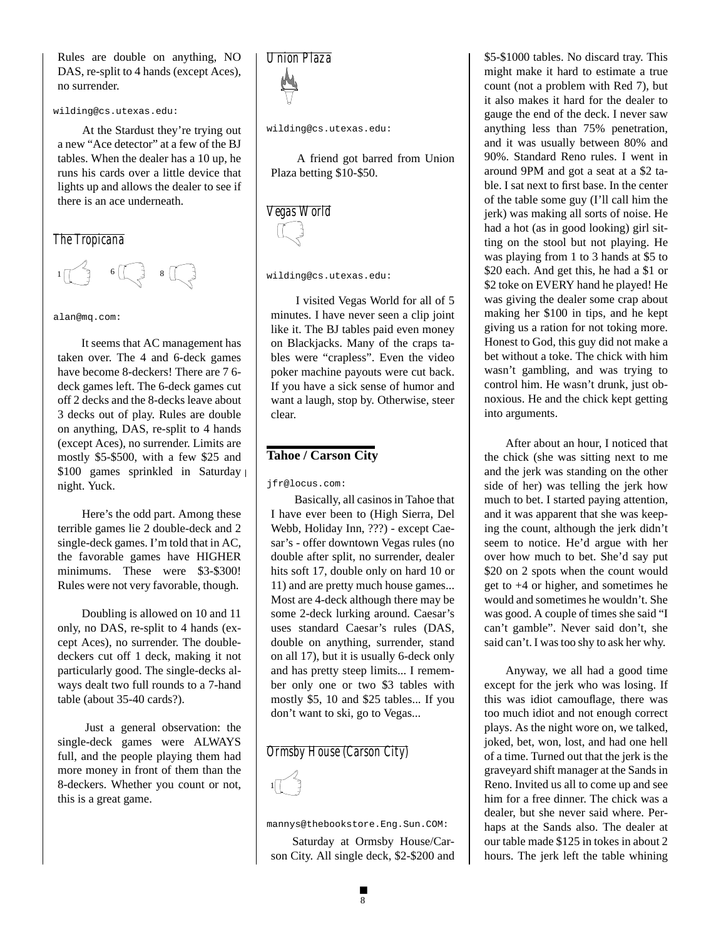Rules are double on anything, NO DAS, re-split to 4 hands (except Aces), no surrender.

wilding@cs.utexas.edu:

 At the Stardust they're trying out a new "Ace detector" at a few of the BJ tables. When the dealer has a 10 up, he runs his cards over a little device that lights up and allows the dealer to see if there is an ace underneath.

*The Tropicana*

 $1 \mid 3 \mid 6 \mid 3 \mid 8$ 

alan@mq.com:

 It seems that AC management has taken over. The 4 and 6-deck games have become 8-deckers! There are 7 6 deck games left. The 6-deck games cut off 2 decks and the 8-decks leave about 3 decks out of play. Rules are double on anything, DAS, re-split to 4 hands (except Aces), no surrender. Limits are mostly \$5-\$500, with a few \$25 and \$100 games sprinkled in Saturday night. Yuck.

 Here's the odd part. Among these terrible games lie 2 double-deck and 2 single-deck games. I'm told that in AC, the favorable games have HIGHER minimums. These were \$3-\$300! Rules were not very favorable, though.

 Doubling is allowed on 10 and 11 only, no DAS, re-split to 4 hands (except Aces), no surrender. The doubledeckers cut off 1 deck, making it not particularly good. The single-decks always dealt two full rounds to a 7-hand table (about 35-40 cards?).

 Just a general observation: the single-deck games were ALWAYS full, and the people playing them had more money in front of them than the 8-deckers. Whether you count or not, this is a great game.



wilding@cs.utexas.edu:

 A friend got barred from Union Plaza betting \$10-\$50.



wilding@cs.utexas.edu:

 I visited Vegas World for all of 5 minutes. I have never seen a clip joint like it. The BJ tables paid even money on Blackjacks. Many of the craps tables were "crapless". Even the video poker machine payouts were cut back. If you have a sick sense of humor and want a laugh, stop by. Otherwise, steer clear.

## **Tahoe / Carson City**

jfr@locus.com:

 Basically, all casinos in Tahoe that I have ever been to (High Sierra, Del Webb, Holiday Inn, ???) - except Caesar's - offer downtown Vegas rules (no double after split, no surrender, dealer hits soft 17, double only on hard 10 or 11) and are pretty much house games... Most are 4-deck although there may be some 2-deck lurking around. Caesar's uses standard Caesar's rules (DAS, double on anything, surrender, stand on all 17), but it is usually 6-deck only and has pretty steep limits... I remember only one or two \$3 tables with mostly \$5, 10 and \$25 tables... If you don't want to ski, go to Vegas...

## *Ormsby House (Carson City)*



mannys@thebookstore.Eng.Sun.COM:

Saturday at Ormsby House/Carson City. All single deck, \$2-\$200 and \$5-\$1000 tables. No discard tray. This might make it hard to estimate a true count (not a problem with Red 7), but it also makes it hard for the dealer to gauge the end of the deck. I never saw anything less than 75% penetration, and it was usually between 80% and 90%. Standard Reno rules. I went in around 9PM and got a seat at a \$2 table. I sat next to first base. In the center of the table some guy (I'll call him the jerk) was making all sorts of noise. He had a hot (as in good looking) girl sitting on the stool but not playing. He was playing from 1 to 3 hands at \$5 to \$20 each. And get this, he had a \$1 or \$2 toke on EVERY hand he played! He was giving the dealer some crap about making her \$100 in tips, and he kept giving us a ration for not toking more. Honest to God, this guy did not make a bet without a toke. The chick with him wasn't gambling, and was trying to control him. He wasn't drunk, just obnoxious. He and the chick kept getting into arguments.

After about an hour, I noticed that the chick (she was sitting next to me and the jerk was standing on the other side of her) was telling the jerk how much to bet. I started paying attention, and it was apparent that she was keeping the count, although the jerk didn't seem to notice. He'd argue with her over how much to bet. She'd say put \$20 on 2 spots when the count would get to +4 or higher, and sometimes he would and sometimes he wouldn't. She was good. A couple of times she said "I can't gamble". Never said don't, she said can't. I was too shy to ask her why.

Anyway, we all had a good time except for the jerk who was losing. If this was idiot camouflage, there was too much idiot and not enough correct plays. As the night wore on, we talked, joked, bet, won, lost, and had one hell of a time. Turned out that the jerk is the graveyard shift manager at the Sands in Reno. Invited us all to come up and see him for a free dinner. The chick was a dealer, but she never said where. Perhaps at the Sands also. The dealer at our table made \$125 in tokes in about 2 hours. The jerk left the table whining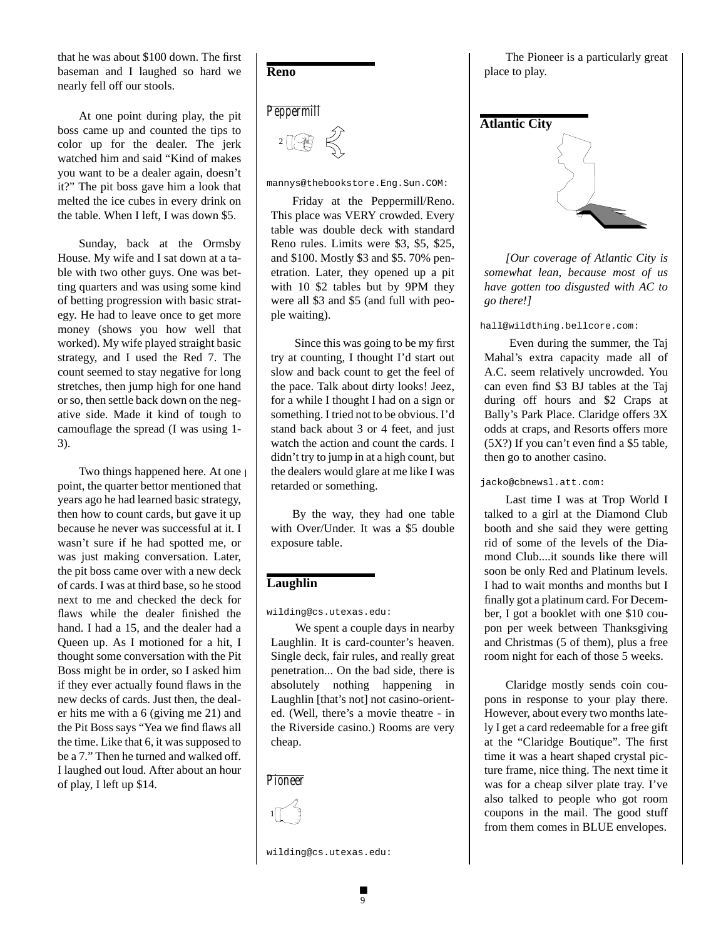that he was about \$100 down. The first baseman and I laughed so hard we nearly fell off our stools.

At one point during play, the pit boss came up and counted the tips to color up for the dealer. The jerk watched him and said "Kind of makes you want to be a dealer again, doesn't it?" The pit boss gave him a look that melted the ice cubes in every drink on the table. When I left, I was down \$5.

Sunday, back at the Ormsby House. My wife and I sat down at a table with two other guys. One was betting quarters and was using some kind of betting progression with basic strategy. He had to leave once to get more money (shows you how well that worked). My wife played straight basic strategy, and I used the Red 7. The count seemed to stay negative for long stretches, then jump high for one hand or so, then settle back down on the negative side. Made it kind of tough to camouflage the spread (I was using 1- 3).

Two things happened here. At one point, the quarter bettor mentioned that years ago he had learned basic strategy, then how to count cards, but gave it up because he never was successful at it. I wasn't sure if he had spotted me, or was just making conversation. Later, the pit boss came over with a new deck of cards. I was at third base, so he stood next to me and checked the deck for flaws while the dealer finished the hand. I had a 15, and the dealer had a Queen up. As I motioned for a hit, I thought some conversation with the Pit Boss might be in order, so I asked him if they ever actually found flaws in the new decks of cards. Just then, the dealer hits me with a 6 (giving me 21) and the Pit Boss says "Yea we find flaws all the time. Like that 6, it was supposed to be a 7." Then he turned and walked off. I laughed out loud. After about an hour of play, I left up \$14.

## **Reno**



mannys@thebookstore.Eng.Sun.COM:

Friday at the Peppermill/Reno. This place was VERY crowded. Every table was double deck with standard Reno rules. Limits were \$3, \$5, \$25, and \$100. Mostly \$3 and \$5. 70% penetration. Later, they opened up a pit with 10 \$2 tables but by 9PM they were all \$3 and \$5 (and full with people waiting).

 Since this was going to be my first try at counting, I thought I'd start out slow and back count to get the feel of the pace. Talk about dirty looks! Jeez, for a while I thought I had on a sign or something. I tried not to be obvious. I'd stand back about 3 or 4 feet, and just watch the action and count the cards. I didn't try to jump in at a high count, but the dealers would glare at me like I was retarded or something.

By the way, they had one table with Over/Under. It was a \$5 double exposure table.

## **Laughlin**

wilding@cs.utexas.edu:

 We spent a couple days in nearby Laughlin. It is card-counter's heaven. Single deck, fair rules, and really great penetration... On the bad side, there is absolutely nothing happening in Laughlin [that's not] not casino-oriented. (Well, there's a movie theatre - in the Riverside casino.) Rooms are very cheap.

*Pioneer*



The Pioneer is a particularly great place to play.



*[Our coverage of Atlantic City is somewhat lean, because most of us have gotten too disgusted with AC to go there!]*

#### hall@wildthing.bellcore.com:

 Even during the summer, the Taj Mahal's extra capacity made all of A.C. seem relatively uncrowded. You can even find \$3 BJ tables at the Taj during off hours and \$2 Craps at Bally's Park Place. Claridge offers 3X odds at craps, and Resorts offers more (5X?) If you can't even find a \$5 table, then go to another casino.

#### jacko@cbnewsl.att.com:

Last time I was at Trop World I talked to a girl at the Diamond Club booth and she said they were getting rid of some of the levels of the Diamond Club....it sounds like there will soon be only Red and Platinum levels. I had to wait months and months but I finally got a platinum card. For December, I got a booklet with one \$10 coupon per week between Thanksgiving and Christmas (5 of them), plus a free room night for each of those 5 weeks.

Claridge mostly sends coin coupons in response to your play there. However, about every two months lately I get a card redeemable for a free gift at the "Claridge Boutique". The first time it was a heart shaped crystal picture frame, nice thing. The next time it was for a cheap silver plate tray. I've also talked to people who got room coupons in the mail. The good stuff from them comes in BLUE envelopes.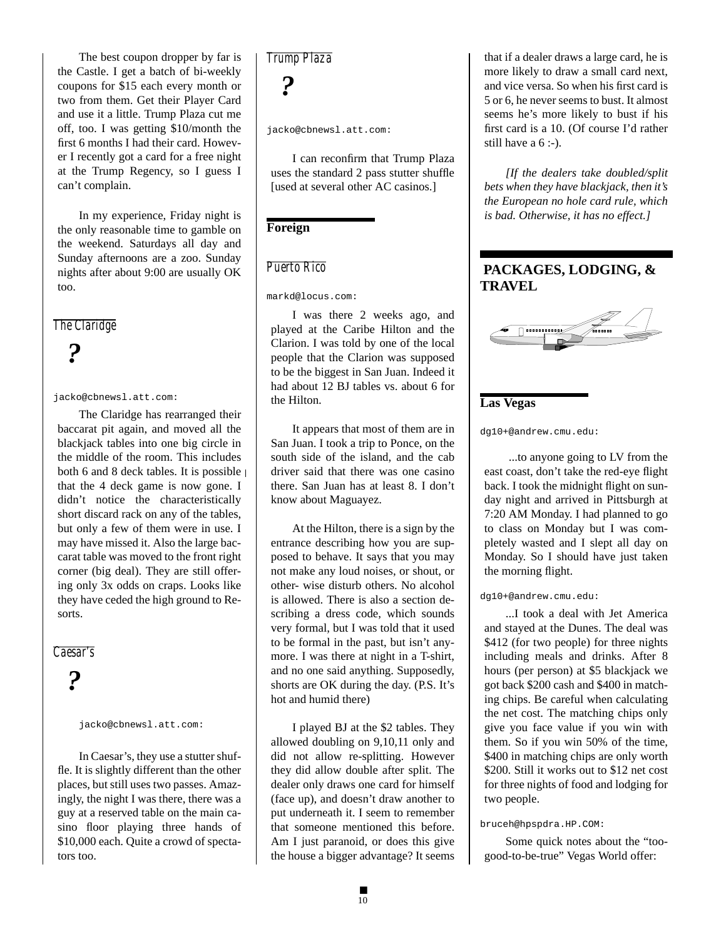The best coupon dropper by far is the Castle. I get a batch of bi-weekly coupons for \$15 each every month or two from them. Get their Player Card and use it a little. Trump Plaza cut me off, too. I was getting \$10/month the first 6 months I had their card. However I recently got a card for a free night at the Trump Regency, so I guess I can't complain.

In my experience, Friday night is the only reasonable time to gamble on the weekend. Saturdays all day and Sunday afternoons are a zoo. Sunday nights after about 9:00 are usually OK too.

## *The Claridge*

*?*

jacko@cbnewsl.att.com:

The Claridge has rearranged their baccarat pit again, and moved all the blackjack tables into one big circle in the middle of the room. This includes both 6 and 8 deck tables. It is possible that the 4 deck game is now gone. I didn't notice the characteristically short discard rack on any of the tables, but only a few of them were in use. I may have missed it. Also the large baccarat table was moved to the front right corner (big deal). They are still offering only 3x odds on craps. Looks like they have ceded the high ground to Resorts.

## *Caesar's*

*?*

jacko@cbnewsl.att.com:

In Caesar's, they use a stutter shuffle. It is slightly different than the other places, but still uses two passes. Amazingly, the night I was there, there was a guy at a reserved table on the main casino floor playing three hands of \$10,000 each. Quite a crowd of spectators too.

# *Trump Plaza ?*

jacko@cbnewsl.att.com:

I can reconfirm that Trump Plaza uses the standard 2 pass stutter shuffle [used at several other AC casinos.]

## **Foreign**

## *Puerto Rico*

markd@locus.com:

I was there 2 weeks ago, and played at the Caribe Hilton and the Clarion. I was told by one of the local people that the Clarion was supposed to be the biggest in San Juan. Indeed it had about 12 BJ tables vs. about 6 for the Hilton.

It appears that most of them are in San Juan. I took a trip to Ponce, on the south side of the island, and the cab driver said that there was one casino there. San Juan has at least 8. I don't know about Maguayez.

At the Hilton, there is a sign by the entrance describing how you are supposed to behave. It says that you may not make any loud noises, or shout, or other- wise disturb others. No alcohol is allowed. There is also a section describing a dress code, which sounds very formal, but I was told that it used to be formal in the past, but isn't anymore. I was there at night in a T-shirt, and no one said anything. Supposedly, shorts are OK during the day. (P.S. It's hot and humid there)

I played BJ at the \$2 tables. They allowed doubling on 9,10,11 only and did not allow re-splitting. However they did allow double after split. The dealer only draws one card for himself (face up), and doesn't draw another to put underneath it. I seem to remember that someone mentioned this before. Am I just paranoid, or does this give the house a bigger advantage? It seems

that if a dealer draws a large card, he is more likely to draw a small card next, and vice versa. So when his first card is 5 or 6, he never seems to bust. It almost seems he's more likely to bust if his first card is a 10. (Of course I'd rather still have a  $6:$ -).

*[If the dealers take doubled/split bets when they have blackjack, then it's the European no hole card rule, which is bad. Otherwise, it has no effect.]*

## **PACKAGES, LODGING, & TRAVEL**



#### **Las Vegas**

dg10+@andrew.cmu.edu:

 ...to anyone going to LV from the east coast, don't take the red-eye flight back. I took the midnight flight on sunday night and arrived in Pittsburgh at 7:20 AM Monday. I had planned to go to class on Monday but I was completely wasted and I slept all day on Monday. So I should have just taken the morning flight.

#### dg10+@andrew.cmu.edu:

...I took a deal with Jet America and stayed at the Dunes. The deal was \$412 (for two people) for three nights including meals and drinks. After 8 hours (per person) at \$5 blackjack we got back \$200 cash and \$400 in matching chips. Be careful when calculating the net cost. The matching chips only give you face value if you win with them. So if you win 50% of the time, \$400 in matching chips are only worth \$200. Still it works out to \$12 net cost for three nights of food and lodging for two people.

#### bruceh@hpspdra.HP.COM:

Some quick notes about the "toogood-to-be-true" Vegas World offer: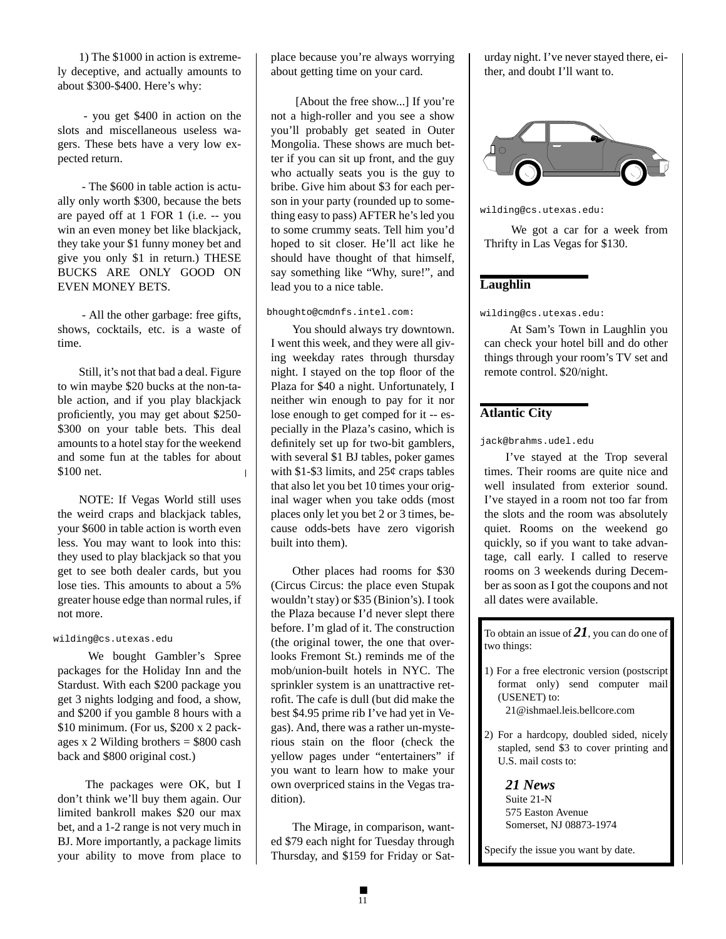1) The \$1000 in action is extremely deceptive, and actually amounts to about \$300-\$400. Here's why:

 - you get \$400 in action on the slots and miscellaneous useless wagers. These bets have a very low expected return.

 - The \$600 in table action is actually only worth \$300, because the bets are payed off at 1 FOR 1 (i.e. -- you win an even money bet like blackjack, they take your \$1 funny money bet and give you only \$1 in return.) THESE BUCKS ARE ONLY GOOD ON EVEN MONEY BETS.

 - All the other garbage: free gifts, shows, cocktails, etc. is a waste of time.

Still, it's not that bad a deal. Figure to win maybe \$20 bucks at the non-table action, and if you play blackjack proficiently, you may get about \$250- \$300 on your table bets. This deal amounts to a hotel stay for the weekend and some fun at the tables for about \$100 net.

NOTE: If Vegas World still uses the weird craps and blackjack tables, your \$600 in table action is worth even less. You may want to look into this: they used to play blackjack so that you get to see both dealer cards, but you lose ties. This amounts to about a 5% greater house edge than normal rules, if not more.

#### wilding@cs.utexas.edu

 We bought Gambler's Spree packages for the Holiday Inn and the Stardust. With each \$200 package you get 3 nights lodging and food, a show, and \$200 if you gamble 8 hours with a \$10 minimum. (For us, \$200 x 2 packages  $x$  2 Wilding brothers =  $$800$  cash back and \$800 original cost.)

 The packages were OK, but I don't think we'll buy them again. Our limited bankroll makes \$20 our max bet, and a 1-2 range is not very much in BJ. More importantly, a package limits your ability to move from place to

place because you're always worrying about getting time on your card.

 [About the free show...] If you're not a high-roller and you see a show you'll probably get seated in Outer Mongolia. These shows are much better if you can sit up front, and the guy who actually seats you is the guy to bribe. Give him about \$3 for each person in your party (rounded up to something easy to pass) AFTER he's led you to some crummy seats. Tell him you'd hoped to sit closer. He'll act like he should have thought of that himself, say something like "Why, sure!", and lead you to a nice table.

#### bhoughto@cmdnfs.intel.com:

You should always try downtown. I went this week, and they were all giving weekday rates through thursday night. I stayed on the top floor of the Plaza for \$40 a night. Unfortunately, I neither win enough to pay for it nor lose enough to get comped for it -- especially in the Plaza's casino, which is definitely set up for two-bit gamblers, with several \$1 BJ tables, poker games with \$1-\$3 limits, and  $25¢$  craps tables that also let you bet 10 times your original wager when you take odds (most places only let you bet 2 or 3 times, because odds-bets have zero vigorish built into them).

Other places had rooms for \$30 (Circus Circus: the place even Stupak wouldn't stay) or \$35 (Binion's). I took the Plaza because I'd never slept there before. I'm glad of it. The construction (the original tower, the one that overlooks Fremont St.) reminds me of the mob/union-built hotels in NYC. The sprinkler system is an unattractive retrofit. The cafe is dull (but did make the best \$4.95 prime rib I've had yet in Vegas). And, there was a rather un-mysterious stain on the floor (check the yellow pages under "entertainers" if you want to learn how to make your own overpriced stains in the Vegas tradition).

The Mirage, in comparison, wanted \$79 each night for Tuesday through Thursday, and \$159 for Friday or Saturday night. I've never stayed there, either, and doubt I'll want to.



wilding@cs.utexas.edu:

 We got a car for a week from Thrifty in Las Vegas for \$130.

## **Laughlin**

#### wilding@cs.utexas.edu:

 At Sam's Town in Laughlin you can check your hotel bill and do other things through your room's TV set and remote control. \$20/night.

## **Atlantic City**

#### jack@brahms.udel.edu

I've stayed at the Trop several times. Their rooms are quite nice and well insulated from exterior sound. I've stayed in a room not too far from the slots and the room was absolutely quiet. Rooms on the weekend go quickly, so if you want to take advantage, call early. I called to reserve rooms on 3 weekends during December as soon as I got the coupons and not all dates were available.

To obtain an issue of *21*, you can do one of two things:

- 1) For a free electronic version (postscript format only) send computer mail (USENET) to: 21@ishmael.leis.bellcore.com
- 2) For a hardcopy, doubled sided, nicely stapled, send \$3 to cover printing and U.S. mail costs to:

## *21 News*

Suite 21-N 575 Easton Avenue Somerset, NJ 08873-1974

Specify the issue you want by date.